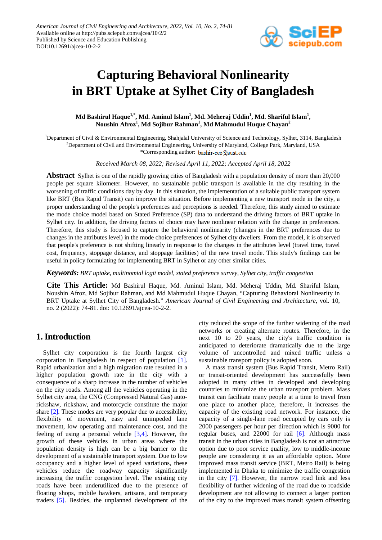

# **Capturing Behavioral Nonlinearity in BRT Uptake at Sylhet City of Bangladesh**

## **Md Bashirul Haque1,\* , Md. Aminul Islam1 , Md. Meheraj Uddin1 , Md. Shariful Islam1 , Noushin Afroz<sup>1</sup> , Md Sojibur Rahman<sup>1</sup> , Md Mahmudul Huque Chayan2**

<sup>1</sup>Department of Civil & Environmental Engineering, Shahjalal University of Science and Technology, Sylhet, 3114, Bangladesh  $^{2}$ Department of Civil and Environmental Engineering, University of Maryland, College Park, Maryland, USA \*Corresponding author:

*Received March 08, 2022; Revised April 11, 2022; Accepted April 18, 2022*

**Abstract** Sylhet is one of the rapidly growing cities of Bangladesh with a population density of more than 20,000 people per square kilometer. However, no sustainable public transport is available in the city resulting in the worsening of traffic conditions day by day. In this situation, the implementation of a suitable public transport system like BRT (Bus Rapid Transit) can improve the situation. Before implementing a new transport mode in the city, a proper understanding of the people's preferences and perceptions is needed. Therefore, this study aimed to estimate the mode choice model based on Stated Preference (SP) data to understand the driving factors of BRT uptake in Sylhet city. In addition, the driving factors of choice may have nonlinear relation with the change in preferences. Therefore, this study is focused to capture the behavioral nonlinearity (changes in the BRT preferences due to changes in the attributes level) in the mode choice preferences of Sylhet city dwellers. From the model, it is observed that people's preference is not shifting linearly in response to the changes in the attributes level (travel time, travel cost, frequency, stoppage distance, and stoppage facilities) of the new travel mode. This study's findings can be useful in policy formulating for implementing BRT in Sylhet or any other similar cities.

*Keywords: BRT uptake, multinomial logit model, stated preference survey, Sylhet city, traffic congestion*

**Cite This Article:** Md Bashirul Haque, Md. Aminul Islam, Md. Meheraj Uddin, Md. Shariful Islam, Noushin Afroz, Md Sojibur Rahman, and Md Mahmudul Huque Chayan, "Capturing Behavioral Nonlinearity in BRT Uptake at Sylhet City of Bangladesh." *American Journal of Civil Engineering and Architecture*, vol. 10, no. 2 (2022): 74-81. doi: 10.12691/ajcea-10-2-2.

# **1. Introduction**

Sylhet city corporation is the fourth largest city corporation in Bangladesh in respect of population [\[1\].](#page-7-0) Rapid urbanization and a high migration rate resulted in a higher population growth rate in the city with a consequence of a sharp increase in the number of vehicles on the city roads. Among all the vehicles operating in the Sylhet city area, the CNG (Compressed Natural Gas) autorickshaw, rickshaw, and motorcycle constitute the major share [\[2\].](#page-7-1) These modes are very popular due to accessibility, flexibility of movement, easy and unimpeded lane movement, low operating and maintenance cost, and the feeling of using a personal vehicle [\[3,4\].](#page-7-2) However, the growth of these vehicles in urban areas where the population density is high can be a big barrier to the development of a sustainable transport system. Due to low occupancy and a higher level of speed variations, these vehicles reduce the roadway capacity significantly increasing the traffic congestion level. The existing city roads have been underutilized due to the presence of floating shops, mobile hawkers, artisans, and temporary traders [\[5\].](#page-7-3) Besides, the unplanned development of the

city reduced the scope of the further widening of the road networks or creating alternate routes. Therefore, in the next 10 to 20 years, the city's traffic condition is anticipated to deteriorate dramatically due to the large volume of uncontrolled and mixed traffic unless a sustainable transport policy is adopted soon.

A mass transit system (Bus Rapid Transit, Metro Rail) or transit-oriented development has successfully been adopted in many cities in developed and developing countries to minimize the urban transport problem. Mass transit can facilitate many people at a time to travel from one place to another place, therefore, it increases the capacity of the existing road network. For instance, the capacity of a single-lane road occupied by cars only is 2000 passengers per hour per direction which is 9000 for regular buses, and 22000 for rail [\[6\].](#page-7-4) Although mass transit in the urban cities in Bangladesh is not an attractive option due to poor service quality, low to middle-income people are considering it as an affordable option. More improved mass transit service (BRT, Metro Rail) is being implemented in Dhaka to minimize the traffic congestion in the city [\[7\].](#page-7-5) However, the narrow road link and less flexibility of further widening of the road due to roadside development are not allowing to connect a larger portion of the city to the improved mass transit system offsetting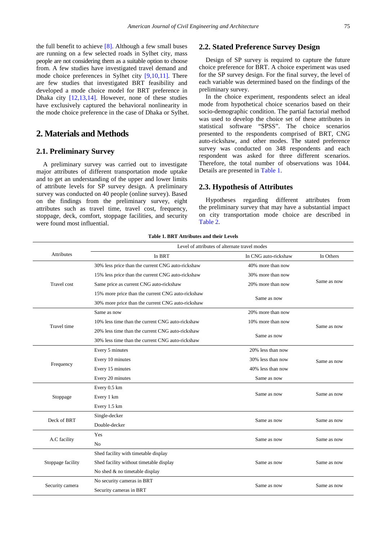the full benefit to achieve [\[8\].](#page-7-6) Although a few small buses are running on a few selected roads in Sylhet city, mass people are not considering them as a suitable option to choose from. A few studies have investigated travel demand and mode choice preferences in Sylhet city [\[9,10,11\].](#page-7-7) There are few studies that investigated BRT feasibility and developed a mode choice model for BRT preference in Dhaka city [\[12,13,14\].](#page-7-8) However, none of these studies have exclusively captured the behavioral nonlinearity in the mode choice preference in the case of Dhaka or Sylhet.

# **2. Materials and Methods**

## **2.1. Preliminary Survey**

A preliminary survey was carried out to investigate major attributes of different transportation mode uptake and to get an understanding of the upper and lower limits of attribute levels for SP survey design. A preliminary survey was conducted on 40 people (online survey). Based on the findings from the preliminary survey, eight attributes such as travel time, travel cost, frequency, stoppage, deck, comfort, stoppage facilities, and security were found most influential.

## **2.2. Stated Preference Survey Design**

Design of SP survey is required to capture the future choice preference for BRT. A choice experiment was used for the SP survey design. For the final survey, the level of each variable was determined based on the findings of the preliminary survey.

In the choice experiment, respondents select an ideal mode from hypothetical choice scenarios based on their socio-demographic condition. The partial factorial method was used to develop the choice set of these attributes in statistical software "SPSS". The choice scenarios presented to the respondents comprised of BRT, CNG auto-rickshaw, and other modes. The stated preference survey was conducted on 348 respondents and each respondent was asked for three different scenarios. Therefore, the total number of observations was 1044. Details are presented in [Table 1.](#page-1-0)

## **2.3. Hypothesis of Attributes**

Hypotheses regarding different attributes from the preliminary survey that may have a substantial impact on city transportation mode choice are described in [Table](#page-2-0) 2.

#### **Table 1. BRT Attributes and their Levels**

<span id="page-1-0"></span>

|                    | Level of attributes of alternate travel modes     |                      |             |  |
|--------------------|---------------------------------------------------|----------------------|-------------|--|
| Attributes         | In BRT                                            | In CNG auto-rickshaw | In Others   |  |
|                    | 30% less price than the current CNG auto-rickshaw | 40% more than now    |             |  |
|                    | 15% less price than the current CNG auto-rickshaw | 30% more than now    |             |  |
| <b>Travel</b> cost | Same price as current CNG auto-rickshaw           | 20% more than now    | Same as now |  |
|                    | 15% more price than the current CNG auto-rickshaw |                      |             |  |
|                    | 30% more price than the current CNG auto-rickshaw | Same as now          |             |  |
|                    | Same as now                                       | 20% more than now    |             |  |
| Travel time        | 10% less time than the current CNG auto-rickshaw  | 10% more than now    |             |  |
|                    | 20% less time than the current CNG auto-rickshaw  | Same as now          | Same as now |  |
|                    | 30% less time than the current CNG auto-rickshaw  |                      |             |  |
|                    | Every 5 minutes                                   | 20% less than now    |             |  |
|                    | Every 10 minutes                                  | 30% less than now    | Same as now |  |
| Frequency          | Every 15 minutes                                  | 40% less than now    |             |  |
|                    | Every 20 minutes                                  | Same as now          |             |  |
|                    | Every 0.5 km                                      |                      |             |  |
| Stoppage           | Every 1 km                                        | Same as now          | Same as now |  |
|                    | Every 1.5 km                                      |                      |             |  |
| Deck of BRT        | Single-decker                                     |                      |             |  |
|                    | Double-decker                                     | Same as now          | Same as now |  |
| A.C facility       | Yes                                               | Same as now          | Same as now |  |
|                    | N <sub>0</sub>                                    |                      |             |  |
|                    | Shed facility with timetable display              |                      |             |  |
| Stoppage facility  | Shed facility without timetable display           | Same as now          | Same as now |  |
|                    | No shed & no timetable display                    |                      |             |  |
| Security camera    | No security cameras in BRT                        | Same as now          | Same as now |  |
|                    | Security cameras in BRT                           |                      |             |  |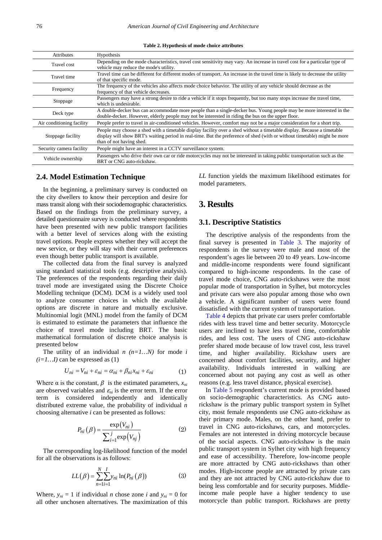**Table 2. Hypothesis of mode choice attributes**

<span id="page-2-0"></span>

| <b>Attributes</b>         | Hypothesis                                                                                                                                                                                                                                                                       |
|---------------------------|----------------------------------------------------------------------------------------------------------------------------------------------------------------------------------------------------------------------------------------------------------------------------------|
| <b>Travel</b> cost        | Depending on the mode characteristics, travel cost sensitivity may vary. An increase in travel cost for a particular type of<br>vehicle may reduce the mode's utility.                                                                                                           |
| Travel time               | Travel time can be different for different modes of transport. An increase in the travel time is likely to decrease the utility<br>of that specific mode.                                                                                                                        |
| Frequency                 | The frequency of the vehicles also affects mode choice behavior. The utility of any vehicle should decrease as the<br>frequency of that vehicle decreases.                                                                                                                       |
| Stoppage                  | Passengers may have a strong desire to ride a vehicle if it stops frequently, but too many stops increase the travel time,<br>which is undesirable.                                                                                                                              |
| Deck type                 | A double-decker bus can accommodate more people than a single-decker bus. Young people may be more interested in the<br>double-decker. However, elderly people may not be interested in riding the bus on the upper floor.                                                       |
| Air conditioning facility | People prefer to travel in air-conditioned vehicles. However, comfort may not be a major consideration for a short trip.                                                                                                                                                         |
| Stoppage facility         | People may choose a shed with a timetable display facility over a shed without a timetable display. Because a timetable<br>display will show BRT's waiting period in real-time. But the preference of shed (with or without timetable) might be more<br>than of not having shed. |
| Security camera facility  | People might have an interest in a CCTV surveillance system.                                                                                                                                                                                                                     |
| Vehicle ownership         | Passengers who drive their own car or ride motorcycles may not be interested in taking public transportation such as the<br>BRT or CNG auto-rickshaw.                                                                                                                            |

## **2.4. Model Estimation Technique**

In the beginning, a preliminary survey is conducted on the city dwellers to know their perception and desire for mass transit along with their sociodemographic characteristics. Based on the findings from the preliminary survey, a detailed questionnaire survey is conducted where respondents have been presented with new public transport facilities with a better level of services along with the existing travel options. People express whether they will accept the new service, or they will stay with their current preferences even though better public transport is available.

The collected data from the final survey is analyzed using standard statistical tools (e.g. descriptive analysis). The preferences of the respondents regarding their daily travel mode are investigated using the Discrete Choice Modelling technique (DCM). DCM is a widely used tool to analyze consumer choices in which the available options are discrete in nature and mutually exclusive. Multinomial logit (MNL) model from the family of DCM is estimated to estimate the parameters that influence the choice of travel mode including BRT. The basic mathematical formulation of discrete choice analysis is presented below

The utility of an individual *n (n=1…N)* for mode *i*   $(i=1...I)$  can be expressed as  $(1)$ 

$$
U_{ni} = V_{ni} + \varepsilon_{ni} = \alpha_{ni} + \beta_{ni} x_{ni} + \varepsilon_{ni}
$$
 (1)

Where  $\alpha$  is the constant,  $\beta$  is the estimated parameters,  $x_{ni}$ are observed variables and  $\varepsilon_n$  is the error term. If the error term is considered independently and identically distributed extreme value, the probability of individual *n* choosing alternative *i* can be presented as follows:

$$
P_{ni}(\beta) = \frac{\exp(V_{ni})}{\sum_{i=1}^{j} \exp(V_{nj})}
$$
 (2)

The corresponding log-likelihood function of the model for all the observations is as follows:

$$
LL(\beta) = \sum_{n=1}^{N} \sum_{i=1}^{I} y_{ni} \ln(P_{ni}(\beta))
$$
 (3)

Where,  $y_{ni} = 1$  if individual *n* chose zone *i* and  $y_{ni} = 0$  for all other unchosen alternatives. The maximization of this *LL* function yields the maximum likelihood estimates for model parameters.

# **3. Results**

# **3.1. Descriptive Statistics**

The descriptive analysis of the respondents from the final survey is presented in [Table 3.](#page-3-0) The majority of respondents in the survey were male and most of the respondent's ages lie between 20 to 49 years. Low-income and middle-income respondents were found significant compared to high-income respondents. In the case of travel mode choice, CNG auto-rickshaws were the most popular mode of transportation in Sylhet, but motorcycles and private cars were also popular among those who own a vehicle. A significant number of users were found dissatisfied with the current system of transportation.

[Table 4](#page-3-1) depicts that private car users prefer comfortable rides with less travel time and better security. Motorcycle users are inclined to have less travel time, comfortable rides, and less cost. The users of CNG auto-rickshaw prefer shared mode because of low travel cost, less travel time, and higher availability. Rickshaw users are concerned about comfort facilities, security, and higher availability. Individuals interested in walking are concerned about not paying any cost as well as other reasons (e.g. less travel distance, physical exercise).

In [Table 5](#page-3-2) respondent's current mode is provided based on socio-demographic characteristics. As CNG autorickshaw is the primary public transport system in Sylhet city, most female respondents use CNG auto-rickshaw as their primary mode. Males, on the other hand, prefer to travel in CNG auto-rickshaws, cars, and motorcycles. Females are not interested in driving motorcycle because of the social aspects. CNG auto-rickshaw is the main public transport system in Sylhet city with high frequency and ease of accessibility. Therefore, low-income people are more attracted by CNG auto-rickshaws than other modes. High-income people are attracted by private cars and they are not attracted by CNG auto-rickshaw due to being less comfortable and for security purposes. Middleincome male people have a higher tendency to use motorcycle than public transport. Rickshaws are pretty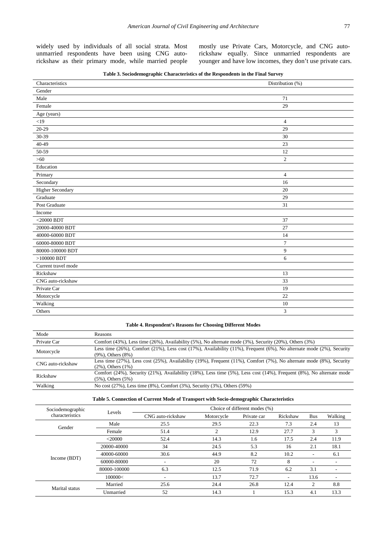widely used by individuals of all social strata. Most unmarried respondents have been using CNG autorickshaw as their primary mode, while married people

mostly use Private Cars, Motorcycle, and CNG autorickshaw equally. Since unmarried respondents are younger and have low incomes, they don't use private cars.

| Table 3. Sociodemographic Characteristics of the Respondents in the Final Survey |  |  |  |
|----------------------------------------------------------------------------------|--|--|--|
|                                                                                  |  |  |  |

<span id="page-3-0"></span>

| Characteristics     | Distribution (%) |
|---------------------|------------------|
| Gender              |                  |
| Male                | 71               |
| Female              | 29               |
| Age (years)         |                  |
| $<$ 19              | $\overline{4}$   |
| $20 - 29$           | 29               |
| 30-39               | $30\,$           |
| 40-49               | 23               |
| 50-59               | 12               |
| $>60$               | $\mathbf{2}$     |
| Education           |                  |
| Primary             | 4                |
| Secondary           | 16               |
| Higher Secondary    | 20               |
| Graduate            | 29               |
| Post Graduate       | 31               |
| Income              |                  |
| $<$ 20000 BDT       | 37               |
| 20000-40000 BDT     | 27               |
| 40000-60000 BDT     | 14               |
| 60000-80000 BDT     | $\overline{7}$   |
| 80000-100000 BDT    | 9                |
| $>100000$ BDT       | 6                |
| Current travel mode |                  |
| Rickshaw            | 13               |
| CNG auto-rickshaw   | 33               |
| Private Car         | 19               |
| Motorcycle          | 22               |
| Walking             | 10               |
| Others              | 3                |

#### **Table 4. Respondent's Reasons for Choosing Different Modes**

<span id="page-3-1"></span>

| Mode              | <b>Reasons</b>                                                                                                                                   |
|-------------------|--------------------------------------------------------------------------------------------------------------------------------------------------|
| Private Car       | Comfort (43%), Less time (26%), Availability (5%), No alternate mode (3%), Security (20%), Others (3%)                                           |
| Motorcycle        | Less time (26%), Comfort (21%), Less cost (17%), Availability (11%), Frequent (6%), No alternate mode (2%), Security<br>$(9\%)$ , Others $(8\%)$ |
| CNG auto-rickshaw | Less time (27%), Less cost (25%), Availability (19%), Frequent (11%), Comfort (7%), No alternate mode (8%), Security<br>$(2\%)$ . Others $(1\%)$ |
| Rickshaw          | Comfort (24%), Security (21%), Availability (18%), Less time (5%), Less cost (14%), Frequent (8%), No alternate mode<br>$(5\%)$ , Others $(5\%)$ |
| Walking           | No cost (27%), Less time (8%), Comfort (3%), Security (3%), Others (59%)                                                                         |

#### **Table 5. Connection of Current Mode of Transport with Socio-demographic Characteristics**

<span id="page-3-2"></span>

| Sociodemographic | Levels       | Choice of different modes (%) |            |             |          |            |         |
|------------------|--------------|-------------------------------|------------|-------------|----------|------------|---------|
| characteristics  |              | CNG auto-rickshaw             | Motorcycle | Private car | Rickshaw | <b>Bus</b> | Walking |
| Gender           | Male         | 25.5                          | 29.5       | 22.3        | 7.3      | 2.4        | 13      |
|                  | Female       | 51.4                          | ◠          | 12.9        | 27.7     | 3          | 3       |
|                  | $<$ 20000    | 52.4                          | 14.3       | 1.6         | 17.5     | 2.4        | 11.9    |
|                  | 20000-40000  | 34                            | 24.5       | 5.3         | 16       | 2.1        | 18.1    |
|                  | 40000-60000  | 30.6                          | 44.9       | 8.2         | 10.2     |            | 6.1     |
| Income (BDT)     | 60000-80000  |                               | 20         | 72          | 8        |            |         |
|                  | 80000-100000 | 6.3                           | 12.5       | 71.9        | 6.2      | 3.1        | ٠       |
|                  | 100000<      |                               | 13.7       | 72.7        | ۰        | 13.6       | ٠       |
|                  | Married      | 25.6                          | 24.4       | 26.8        | 12.4     | 2          | 8.8     |
| Marital status   | Unmarried    | 52                            | 14.3       |             | 15.3     | 4.1        | 13.3    |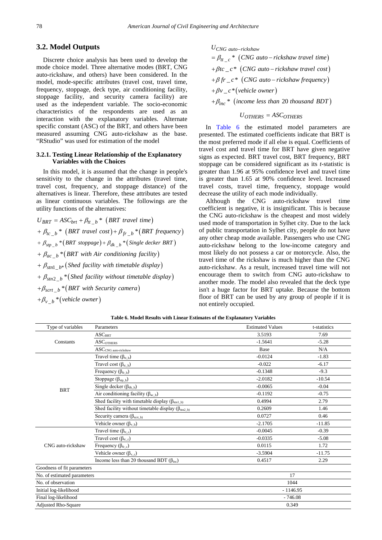## **3.2. Model Outputs**

Discrete choice analysis has been used to develop the mode choice model. Three alternative modes (BRT, CNG auto-rickshaw, and others) have been considered. In the model, mode-specific attributes (travel cost, travel time, frequency, stoppage, deck type, air conditioning facility, stoppage facility, and security camera facility) are used as the independent variable. The socio-economic characteristics of the respondents are used as an interaction with the explanatory variables. Alternate specific constant (ASC) of the BRT, and others have been measured assuming CNG auto-rickshaw as the base. "RStudio" was used for estimation of the model

#### **3.2.1. Testing Linear Relationship of the Explanatory Variables with the Choices**

In this model, it is assumed that the change in people's sensitivity to the change in the attributes (travel time, travel cost, frequency, and stoppage distance) of the alternatives is linear. Therefore, these attributes are tested as linear continuous variables. The followings are the utility functions of the alternatives:

$$
U_{BRT} = ASC_{brt} + \beta_{tt\_b} * (BRT\ travel\ time)
$$
  
+  $\beta_{tc\_b} * (BRT\ travel\ cost) + \beta_{fr\_b} * (BRT\ frequency)$   
+  $\beta_{stp\_b} * (BRT\ stoppage) + \beta_{dk\_b} * (Single\ deckF\ BRT)$   
+  $\beta_{ac\_b} * (BRT\ with\ Air\ conditioning\ facility)$   
+  $\beta_{sm1\_b*} (Shed\ facility\ with\ timetable\ display)$   
+  $\beta_{sm2\_b} * (Shed\ facility\ without\ timetable\ display)$   
+  $\beta_{scrt\_b} * (BRT\ with\ Security\ camera)$ 

+ $\beta_{v\_b}$  \* (vehicle owner)

$$
U_{CNG \, auto-rickshaw}
$$
  
=  $\beta_{tt\_c} * (CNG \, auto-rickshaw \, travel \, time)$   
+  $\beta tc\_c * (CNG \, auto-rickshaw \, travel \, cost)$   
+  $\beta fr\_c * (CNG \, auto-rickshaw \, frequency)$   
+  $\beta v\_c * (velicle \, owner)$   
+  $\beta_{inc} * (income \, less \, than \, 20 \, thousand \, BDT)$ 

 $U_{OTHERS} = ASC_{OTHERS}$ 

In [Table 6](#page-4-0) the estimated model parameters are presented. The estimated coefficients indicate that BRT is the most preferred mode if all else is equal. Coefficients of travel cost and travel time for BRT have given negative signs as expected. BRT travel cost, BRT frequency, BRT stoppage can be considered significant as its *t-*statistic is greater than 1.96 at 95% confidence level and travel time is greater than 1.65 at 90% confidence level. Increased travel costs, travel time, frequency, stoppage would decrease the utility of each mode individually.

Although the CNG auto-rickshaw travel time coefficient is negative, it is insignificant. This is because the CNG auto-rickshaw is the cheapest and most widely used mode of transportation in Sylhet city. Due to the lack of public transportation in Sylhet city, people do not have any other cheap mode available. Passengers who use CNG auto-rickshaw belong to the low-income category and most likely do not possess a car or motorcycle. Also, the travel time of the rickshaw is much higher than the CNG auto-rickshaw. As a result, increased travel time will not encourage them to switch from CNG auto-rickshaw to another mode. The model also revealed that the deck type isn't a huge factor for BRT uptake. Because the bottom floor of BRT can be used by any group of people if it is not entirely occupied.

| Table 6. Model Results with Linear Estimates of the Explanatory Variables |  |  |  |
|---------------------------------------------------------------------------|--|--|--|
|---------------------------------------------------------------------------|--|--|--|

<span id="page-4-0"></span>

| Type of variables           | Parameters                                                         | <b>Estimated Values</b> | t-statistics |
|-----------------------------|--------------------------------------------------------------------|-------------------------|--------------|
| Constants                   | ASC <sub>BRT</sub>                                                 | 3.5193                  | 7.69         |
|                             | $\rm{ASC}_{\rm{OTHERS}}$                                           | $-1.5641$               | $-5.28$      |
|                             | $\operatorname{ASC}_{\textnormal{CNG auto-rickshaw}}$              | Base                    | N/A          |
|                             | Travel time $(\beta_{tt_b})$                                       | $-0.0124$               | $-1.83$      |
|                             | Travel cost $(\beta_{tc_b})$                                       | $-0.022$                | $-6.17$      |
|                             | Frequency $(\beta_{fr_b})$                                         | $-0.1348$               | $-9.3$       |
|                             | Stoppage $(\beta_{\text{stp\_b}})$                                 | $-2.0182$               | $-10.54$     |
| <b>BRT</b>                  | Single decker $(\beta_{dk_b})$                                     | $-0.0065$               | $-0.04$      |
|                             | Air conditioning facility ( $\beta_{ac_b}$ )                       | $-0.1192$               | $-0.75$      |
|                             | Shed facility with timetable display $(\beta_{\text{stnl_b}})$     | 0.4994                  | 2.79         |
|                             | Shed facility without timetable display ( $\beta_{\text{sm2_b}}$ ) | 0.2609                  | 1.46         |
|                             | Security camera ( $\beta_{\text{scrt\_b}}$ )                       | 0.0727                  | 0.46         |
|                             | Vehicle owner $(\beta_{v_b})$                                      | $-2.1705$               | $-11.85$     |
|                             | Travel time $(\beta_{tt_c})$                                       | $-0.0045$               | $-0.39$      |
|                             | Travel cost $(\beta_{tc_c})$                                       | $-0.0335$               | $-5.08$      |
| CNG auto-rickshaw           | Frequency $(\beta_{fr\_c})$                                        | 0.0115                  | 1.72         |
|                             | Vehicle owner $(\beta_{v_c})$                                      | $-3.5904$               | $-11.75$     |
|                             | Income less than 20 thousand BDT $(\beta_{inc})$                   | 0.4517                  | 2.29         |
| Goodness of fit parameters  |                                                                    |                         |              |
| No. of estimated parameters |                                                                    | 17                      |              |
| No. of observation          |                                                                    | 1044                    |              |
| Initial log-likelihood      |                                                                    | $-1146.95$              |              |
| Final log-likelihood        |                                                                    | $-746.08$               |              |
| <b>Adjusted Rho-Square</b>  |                                                                    | 0.349                   |              |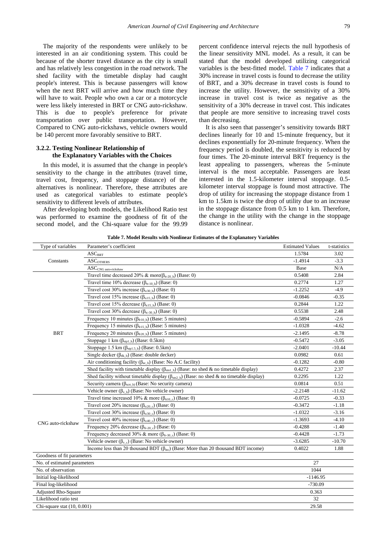The majority of the respondents were unlikely to be interested in an air conditioning system. This could be because of the shorter travel distance as the city is small and has relatively less congestion in the road network. The shed facility with the timetable display had caught people's interest. This is because passengers will know when the next BRT will arrive and how much time they will have to wait. People who own a car or a motorcycle were less likely interested in BRT or CNG auto-rickshaw. This is due to people's preference for private transportation over public transportation. However, Compared to CNG auto-rickshaws, vehicle owners would be 140 percent more favorably sensitive to BRT.

#### **3.2.2. Testing Nonlinear Relationship of the Explanatory Variables with the Choices**

In this model, it is assumed that the change in people's sensitivity to the change in the attributes (travel time, travel cost, frequency, and stoppage distance) of the alternatives is nonlinear. Therefore, these attributes are used as categorical variables to estimate people's sensitivity to different levels of attributes.

After developing both models, the Likelihood Ratio test was performed to examine the goodness of fit of the second model, and the Chi-square value for the 99.99

percent confidence interval rejects the null hypothesis of the linear sensitivity MNL model. As a result, it can be stated that the model developed utilizing categorical variables is the best-fitted model. [Table 7](#page-5-0) indicates that a 30% increase in travel costs is found to decrease the utility of BRT, and a 30% decrease in travel costs is found to increase the utility. However, the sensitivity of a 30% increase in travel cost is twice as negative as the sensitivity of a 30% decrease in travel cost. This indicates that people are more sensitive to increasing travel costs than decreasing.

It is also seen that passenger's sensitivity towards BRT declines linearly for 10 and 15-minute frequency, but it declines exponentially for 20-minute frequency. When the frequency period is doubled, the sensitivity is reduced by four times. The 20-minute interval BRT frequency is the least appealing to passengers, whereas the 5-minute interval is the most acceptable. Passengers are least interested in the 1.5-kilometer interval stoppage. 0.5 kilometer interval stoppage is found most attractive. The drop of utility for increasing the stoppage distance from 1 km to 1.5km is twice the drop of utility due to an increase in the stoppage distance from 0.5 km to 1 km. Therefore, the change in the utility with the change in the stoppage distance is nonlinear.

<span id="page-5-0"></span>

| Type of variables           | Parameter's coefficient                                                                                   | <b>Estimated Values</b> | t-statistics |
|-----------------------------|-----------------------------------------------------------------------------------------------------------|-------------------------|--------------|
| Constants                   | ASC <sub>BRT</sub>                                                                                        | 1.5784                  | 3.02         |
|                             | <b>ASCOTHERS</b>                                                                                          | $-1.4914$               | $-3.3$       |
|                             | $\operatorname{ASC}_{\text{CNG auto-rickshaw}}$                                                           | Base                    | N/A          |
|                             | Travel time decreased 20% & more( $\beta_{tt-20 b}$ ) (Base: 0)                                           | 0.5408                  | 2.84         |
|                             | Travel time 10% decrease $(\beta_{tt-10 b})$ (Base: 0)                                                    | 0.2774                  | 1.27         |
|                             | Travel cost 30% increase ( $\beta$ <sub>tc30 b</sub> ) (Base: 0)                                          | $-1.2252$               | $-4.9$       |
|                             | Travel cost 15% increase ( $\beta_{\text{tcl5 b}}$ ) (Base: 0)                                            | $-0.0846$               | $-0.35$      |
|                             | Travel cost 15% decrease $(\beta_{\text{tc15\_b}})$ (Base: 0)                                             | 0.2844                  | 1.22         |
|                             | Travel cost 30% decrease ( $\beta_{tc-30 b}$ ) (Base: 0)                                                  | 0.5538                  | 2.48         |
|                             | Frequency 10 minutes ( $\beta$ <sub>fr10 b</sub> ) (Base: 5 minutes)                                      | $-0.5894$               | $-2.6$       |
|                             | Frequency 15 minutes ( $\beta$ <sub>fr15 b</sub> ) (Base: 5 minutes)                                      | $-1.0328$               | $-4.62$      |
| <b>BRT</b>                  | Frequency 20 minutes ( $\beta$ <sub>fr20 b</sub> ) (Base: 5 minutes)                                      | $-2.1495$               | $-8.78$      |
|                             | Stoppage 1 km $(\beta_{\text{spl b}})$ (Base: 0.5km)                                                      | $-0.5472$               | $-3.05$      |
|                             | Stoppage 1.5 km $(\beta_{\text{stpl.5 b}})$ (Base: 0.5 km)                                                | $-2.0401$               | $-10.44$     |
|                             | Single decker $(\beta_{dk} b)$ (Base: double decker)                                                      | 0.0982                  | 0.61         |
|                             | Air conditioning facility ( $\beta_{ac}$ b) (Base: No A.C facility)                                       | $-0.1282$               | $-0.80$      |
|                             | Shed facility with timetable display ( $\beta_{\text{sn1 b}}$ ) (Base: no shed & no timetable display)    | 0.4272                  | 2.37         |
|                             | Shed facility without timetable display ( $\beta_{\text{sn2-b}}$ ) (Base: no shed & no timetable display) | 0.2295                  | 1.22         |
|                             | Security camera ( $\beta_{\text{scrt\_b}}$ ) (Base: No security camera)                                   | 0.0814                  | 0.51         |
|                             | Vehicle owner ( $\beta_{v}$ <sub>b</sub> ) (Base: No vehicle owner)                                       | $-2.2148$               | $-11.62$     |
|                             | Travel time increased 10% & more ( $\beta$ <sub>tt10 c</sub> ) (Base: 0)                                  | $-0.0725$               | $-0.33$      |
|                             | Travel cost 20% increase ( $\beta_{tc20}$ ) (Base: 0)                                                     | $-0.3472$               | $-1.18$      |
|                             | Travel cost 30% increase ( $\beta_{tc30}$ ) (Base: 0)                                                     | $-1.0322$               | $-3.16$      |
|                             | Travel cost 40% increase ( $\beta_{tc40}$ ) (Base: 0)                                                     | $-1.3693$               | $-4.10$      |
| CNG auto-rickshaw           | Frequency 20% decrease ( $\beta$ <sub>fr-20 c</sub> ) (Base: 0)                                           | $-0.4288$               | $-1.40$      |
|                             | Frequency decreased 30% & more ( $\beta_{\text{fr-30 c}}$ ) (Base: 0)                                     | $-0.4428$               | $-1.73$      |
|                             | Vehicle owner ( $\beta_{v}$ c) (Base: No vehicle owner)                                                   | $-3.6285$               | $-10.70$     |
|                             | Income less than 20 thousand BDT $(\beta_{inc})$ (Base: More than 20 thousand BDT income)                 | 0.4022                  | 1.88         |
| Goodness of fit parameters  |                                                                                                           |                         |              |
| No. of estimated parameters |                                                                                                           | 27                      |              |
| No. of observation          |                                                                                                           | 1044                    |              |
| Initial log-likelihood      |                                                                                                           | $-1146.95$              |              |
| Final log-likelihood        |                                                                                                           | $-730.09$               |              |
| <b>Adjusted Rho-Square</b>  |                                                                                                           | 0.363                   |              |
| Likelihood ratio test       |                                                                                                           | 32                      |              |
| Chi-square stat (10, 0.001) |                                                                                                           | 29.58                   |              |
|                             |                                                                                                           |                         |              |

**Table 7. Model Results with Nonlinear Estimates of the Explanatory Variables**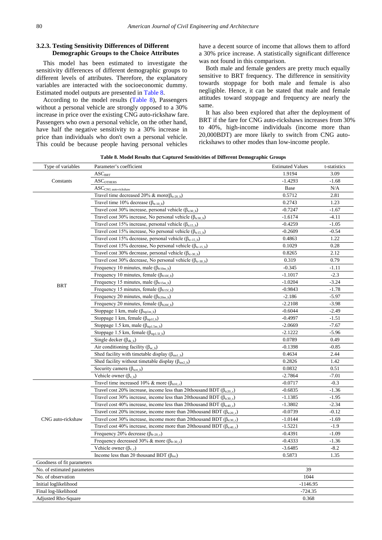#### **3.2.3. Testing Sensitivity Differences of Different Demographic Groups to the Choice Attributes**

This model has been estimated to investigate the sensitivity differences of different demographic groups to different levels of attributes. Therefore, the explanatory variables are interacted with the socioeconomic dummy. Estimated model outputs are presented in [Table 8.](#page-6-0)

According to the model results [\(Table 8\)](#page-6-0), Passengers without a personal vehicle are strongly opposed to a 30% increase in price over the existing CNG auto-rickshaw fare. Passengers who own a personal vehicle, on the other hand, have half the negative sensitivity to a 30% increase in price than individuals who don't own a personal vehicle. This could be because people having personal vehicles

have a decent source of income that allows them to afford a 30% price increase. A statistically significant difference was not found in this comparison.

Both male and female genders are pretty much equally sensitive to BRT frequency. The difference in sensitivity towards stoppage for both male and female is also negligible. Hence, it can be stated that male and female attitudes toward stoppage and frequency are nearly the same.

It has also been explored that after the deployment of BRT if the fare for CNG auto-rickshaws increases from 30% to 40%, high-income individuals (income more than 20,000BDT) are more likely to switch from CNG autorickshaws to other modes than low-income people.

**Table 8. Model Results that Captured Sensitivities of Different Demographic Groups**

<span id="page-6-0"></span>

| Type of variables           | Parameter's coefficient                                                               | <b>Estimated Values</b> | t-statistics |
|-----------------------------|---------------------------------------------------------------------------------------|-------------------------|--------------|
| Constants                   | ASC <sub>BRT</sub>                                                                    | 1.9194                  | 3.09         |
|                             | $\rm{ASC}_{\rm{OTHERS}}$                                                              | $-1.4293$               | $-1.68$      |
|                             | $\operatorname{ASC}_{\text{CNG auto-rickshaw}}$                                       | Base                    | N/A          |
|                             | Travel time decreased 20% & more( $\beta_{tt-20 b}$ )                                 | 0.5712                  | 2.81         |
|                             | Travel time 10% decrease ( $\beta$ <sub>tt-10 b</sub> )                               | 0.2743                  | 1.23         |
|                             | Travel cost 30% increase, personal vehicle ( $\beta_{tc30 b}$ )                       | $-0.7247$               | -1.67        |
|                             | Travel cost 30% increase, No personal vehicle ( $\beta_{\text{tc30 b}}$ )             | $-1.6174$               | $-4.11$      |
|                             | Travel cost 15% increase, personal vehicle ( $\beta_{\text{tcl}}$ b)                  | $-0.4259$               | $-1.05$      |
|                             | Travel cost 15% increase, No personal vehicle ( $\beta_{\text{tcl}}$ b)               | $-0.2609$               | $-0.54$      |
|                             | Travel cost 15% decrease, personal vehicle ( $\beta_{tc-15}$ )                        | 0.4863                  | 1.22         |
|                             | Travel cost 15% decrease, No personal vehicle ( $\beta_{tc-15 b}$ )                   | 0.1029                  | 0.28         |
|                             | Travel cost 30% decrease, personal vehicle $(\beta_{tc-30_b})$                        | 0.8265                  | 2.12         |
|                             | Travel cost 30% decrease, No personal vehicle $(\beta_{tc-30_b})$                     | 0.319                   | 0.79         |
|                             | Frequency 10 minutes, male $(\beta_{\text{fr10m\_b}})$                                | $-0.345$                | $-1.11$      |
|                             | Frequency 10 minutes, female ( $\beta$ <sub>fr10f_b</sub> )                           | $-1.1017$               | $-2.3$       |
| <b>BRT</b>                  | Frequency 15 minutes, male ( $\beta_{\text{fr15m}}$ b)                                | $-1.0204$               | $-3.24$      |
|                             | Frequency 15 minutes, female ( $\beta_{\text{fr15f\_b}}$ )                            | $-0.9843$               | $-1.78$      |
|                             | Frequency 20 minutes, male $(\beta_{\text{fr20m\_b}})$                                | $-2.186$                | $-5.97$      |
|                             | Frequency 20 minutes, female ( $\beta$ <sub>fr20f_b</sub> )                           | $-2.2108$               | $-3.98$      |
|                             | Stoppage 1 km, male $(\beta_{\text{stp1m b}})$                                        | $-0.6044$               | $-2.49$      |
|                             | Stoppage 1 km, female $(\beta_{\text{stp1f\_b}})$                                     | $-0.4997$               | $-1.51$      |
|                             | Stoppage 1.5 km, male $(\beta_{\text{stp1.5m\_b}})$                                   | $-2.0669$               | $-7.67$      |
|                             | Stoppage 1.5 km, female ( $\beta_{\text{stp1.5f b}}$ )                                | $-2.1222$               | $-5.96$      |
|                             | Single decker $(\beta_{dk, b})$                                                       | 0.0789                  | 0.49         |
|                             | Air conditioning facility ( $\beta_{ac_b}$ )                                          | $-0.1398$               | $-0.85$      |
|                             | Shed facility with timetable display $(\beta_{\text{stnl_b}})$                        | 0.4634                  | 2.44         |
|                             | Shed facility without timetable display $(\beta_{\text{sta2-b}})$                     | 0.2826                  | 1.42         |
|                             | Security camera $(\beta_{\text{scrt_b}})$                                             | 0.0832                  | 0.51         |
|                             | Vehicle owner $(\beta_{v,b})$                                                         | -2.7864                 | $-7.01$      |
|                             | Travel time increased 10% & more ( $\beta$ <sub>tt10 c</sub> )                        | $-0.0717$               | $-0.3$       |
|                             | Travel cost 20% increase, income less than 20thousand BDT ( $\beta_{tc20c}$ )         | $-0.6835$               | $-1.36$      |
|                             | Travel cost 30% increase, income less than 20thousand BDT ( $\beta_{\text{tc30 c}}$ ) | $-1.1385$               | $-1.95$      |
|                             | Travel cost 40% increase, income less than 20thousand BDT ( $\beta_{\text{tc40 c}}$ ) | $-1.3802$               | $-2.34$      |
|                             | Travel cost 20% increase, income more than 20thousand BDT ( $\beta_{tc20c}$ )         | $-0.0739$               | $-0.12$      |
| CNG auto-rickshaw           | Travel cost 30% increase, income more than 20thousand BDT ( $\beta_{tc30c}$ )         | $-1.0144$               | $-1.69$      |
|                             | Travel cost 40% increase, income more than 20thousand BDT ( $\beta_{\text{t}c40 c}$ ) | $-1.5221$               | $-1.9$       |
|                             | Frequency 20% decrease $(\beta_{\text{fr-20_c}})$                                     | -0.4391                 | $-1.09$      |
|                             | Frequency decreased 30% & more ( $\beta_{\text{fr-30 c}}$ )                           | $-0.4333$               | $-1.36$      |
|                             | Vehicle owner $(\beta_{v_c})$                                                         | $-3.6485$               | $-8.2$       |
|                             | Income less than 20 thousand BDT $(\beta_{inc})$                                      | 0.5873                  | 1.35         |
| Goodness of fit parameters  |                                                                                       |                         |              |
| No. of estimated parameters |                                                                                       | 39                      |              |
| No. of observation          |                                                                                       | 1044                    |              |
| Initial loglikelihood       |                                                                                       | $-1146.95$              |              |
| Final log-likelihood        |                                                                                       | $-724.35$               |              |
| Adjusted Rho-Square         |                                                                                       | 0.368                   |              |